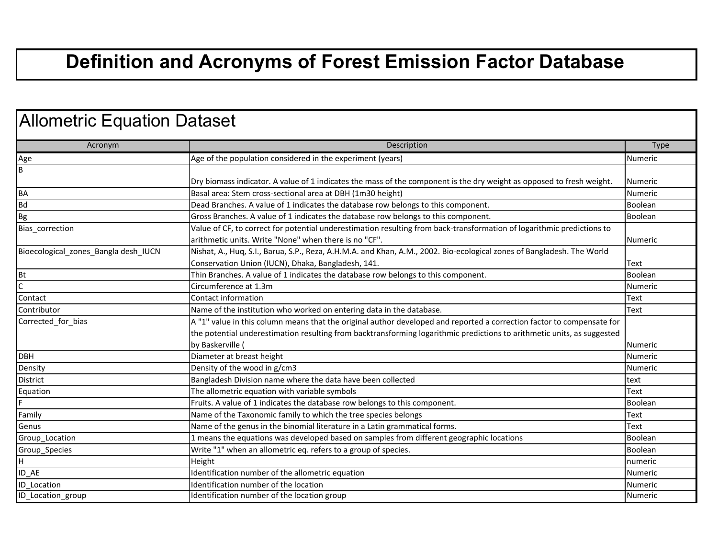## **Definition and Acronyms of Forest Emission Factor Database**

| Acronym                              | Description                                                                                                             | <b>Type</b>    |
|--------------------------------------|-------------------------------------------------------------------------------------------------------------------------|----------------|
| Age                                  | Age of the population considered in the experiment (years)                                                              | Numeric        |
| B                                    |                                                                                                                         |                |
|                                      | Dry biomass indicator. A value of 1 indicates the mass of the component is the dry weight as opposed to fresh weight.   | <b>Numeric</b> |
| <b>BA</b>                            | Basal area: Stem cross-sectional area at DBH (1m30 height)                                                              | Numeric        |
| <b>Bd</b>                            | Dead Branches. A value of 1 indicates the database row belongs to this component.                                       | Boolean        |
| Bg                                   | Gross Branches. A value of 1 indicates the database row belongs to this component.                                      | Boolean        |
| Bias_correction                      | Value of CF, to correct for potential underestimation resulting from back-transformation of logarithmic predictions to  |                |
|                                      | arithmetic units. Write "None" when there is no "CF".                                                                   | <b>Numeric</b> |
| Bioecological zones Bangla desh IUCN | Nishat, A., Huq, S.I., Barua, S.P., Reza, A.H.M.A. and Khan, A.M., 2002. Bio-ecological zones of Bangladesh. The World  |                |
|                                      | Conservation Union (IUCN), Dhaka, Bangladesh, 141.                                                                      | <b>Text</b>    |
| <b>Bt</b>                            | Thin Branches. A value of 1 indicates the database row belongs to this component.                                       | Boolean        |
| C                                    | Circumference at 1.3m                                                                                                   | Numeric        |
| Contact                              | Contact information                                                                                                     | Text           |
| Contributor                          | Name of the institution who worked on entering data in the database.                                                    | Text           |
| Corrected_for_bias                   | A "1" value in this column means that the original author developed and reported a correction factor to compensate for  |                |
|                                      | the potential underestimation resulting from backtransforming logarithmic predictions to arithmetic units, as suggested |                |
|                                      | by Baskerville                                                                                                          | Numeric        |
| <b>DBH</b>                           | Diameter at breast height                                                                                               | <b>Numeric</b> |
| Density                              | Density of the wood in g/cm3                                                                                            | Numeric        |
| District                             | Bangladesh Division name where the data have been collected                                                             | text           |
| Equation                             | The allometric equation with variable symbols                                                                           | Text           |
|                                      | Fruits. A value of 1 indicates the database row belongs to this component.                                              | <b>Boolean</b> |
| Family                               | Name of the Taxonomic family to which the tree species belongs                                                          | Text           |
| Genus                                | Name of the genus in the binomial literature in a Latin grammatical forms.                                              | Text           |
| Group_Location                       | 1 means the equations was developed based on samples from different geographic locations                                | Boolean        |
| Group_Species                        | Write "1" when an allometric eq. refers to a group of species.                                                          | Boolean        |
| H.                                   | Height                                                                                                                  | numeric        |
| ID AE                                | Identification number of the allometric equation                                                                        | Numeric        |
| <b>ID</b> Location                   | Identification number of the location                                                                                   | Numeric        |
| ID_Location_group                    | Identification number of the location group                                                                             | <b>Numeric</b> |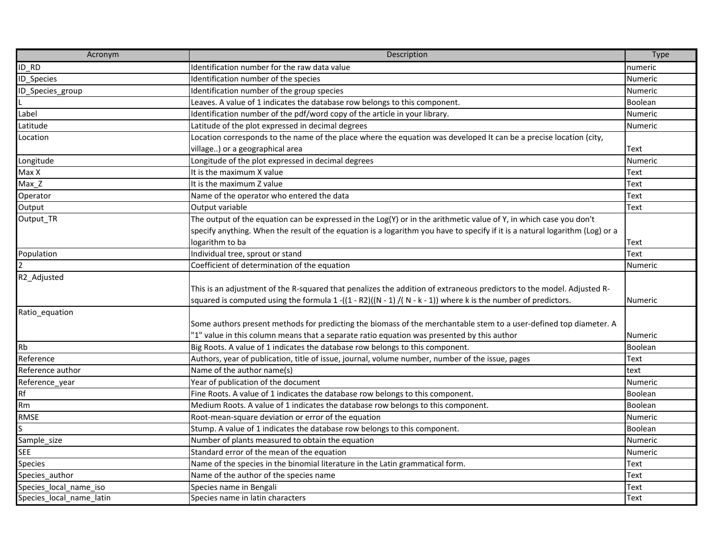| Acronym                  | Description                                                                                                                                                                                                                              | Type           |
|--------------------------|------------------------------------------------------------------------------------------------------------------------------------------------------------------------------------------------------------------------------------------|----------------|
| ID RD                    | Identification number for the raw data value                                                                                                                                                                                             | numeric        |
| ID_Species               | Identification number of the species                                                                                                                                                                                                     | <b>Numeric</b> |
| ID_Species_group         | Identification number of the group species                                                                                                                                                                                               | Numeric        |
|                          | Leaves. A value of 1 indicates the database row belongs to this component.                                                                                                                                                               | Boolean        |
| Label                    | Identification number of the pdf/word copy of the article in your library.                                                                                                                                                               | <b>Numeric</b> |
| Latitude                 | Latitude of the plot expressed in decimal degrees                                                                                                                                                                                        | Numeric        |
| Location                 | Location corresponds to the name of the place where the equation was developed It can be a precise location (city,                                                                                                                       |                |
|                          | village) or a geographical area                                                                                                                                                                                                          | Text           |
| Longitude                | Longitude of the plot expressed in decimal degrees                                                                                                                                                                                       | <b>Numeric</b> |
| Max X                    | It is the maximum X value                                                                                                                                                                                                                | Text           |
| Max_Z                    | It is the maximum Z value                                                                                                                                                                                                                | Text           |
| Operator                 | Name of the operator who entered the data                                                                                                                                                                                                | Text           |
| Output                   | Output variable                                                                                                                                                                                                                          | Text           |
| Output_TR                | The output of the equation can be expressed in the Log(Y) or in the arithmetic value of Y, in which case you don't                                                                                                                       |                |
|                          | specify anything. When the result of the equation is a logarithm you have to specify if it is a natural logarithm (Log) or a                                                                                                             |                |
|                          | logarithm to ba                                                                                                                                                                                                                          | Text           |
| Population               | Individual tree, sprout or stand                                                                                                                                                                                                         | Text           |
| $\overline{2}$           | Coefficient of determination of the equation                                                                                                                                                                                             | <b>Numeric</b> |
| R2_Adjusted              | This is an adjustment of the R-squared that penalizes the addition of extraneous predictors to the model. Adjusted R-<br>squared is computed using the formula $1$ -((1 - R2)((N - 1) /(N - k - 1)) where k is the number of predictors. | <b>Numeric</b> |
| Ratio_equation           | Some authors present methods for predicting the biomass of the merchantable stem to a user-defined top diameter. A<br>"1" value in this column means that a separate ratio equation was presented by this author                         | <b>Numeric</b> |
| <b>Rb</b>                | Big Roots. A value of 1 indicates the database row belongs to this component.                                                                                                                                                            | Boolean        |
| Reference                | Authors, year of publication, title of issue, journal, volume number, number of the issue, pages                                                                                                                                         | Text           |
| Reference author         | Name of the author name(s)                                                                                                                                                                                                               | text           |
| Reference_year           | Year of publication of the document                                                                                                                                                                                                      | <b>Numeric</b> |
| Rf                       | Fine Roots. A value of 1 indicates the database row belongs to this component.                                                                                                                                                           | Boolean        |
| Rm                       | Medium Roots. A value of 1 indicates the database row belongs to this component.                                                                                                                                                         | Boolean        |
| RMSE                     | Root-mean-square deviation or error of the equation                                                                                                                                                                                      | <b>Numeric</b> |
| S                        | Stump. A value of 1 indicates the database row belongs to this component.                                                                                                                                                                | Boolean        |
| Sample_size              | Number of plants measured to obtain the equation                                                                                                                                                                                         | Numeric        |
| <b>SEE</b>               | Standard error of the mean of the equation                                                                                                                                                                                               | <b>Numeric</b> |
| <b>Species</b>           | Name of the species in the binomial literature in the Latin grammatical form.                                                                                                                                                            | Text           |
| Species author           | Name of the author of the species name                                                                                                                                                                                                   | Text           |
| Species_local_name_iso   | Species name in Bengali                                                                                                                                                                                                                  | Text           |
| Species_local_name_latin | Species name in latin characters                                                                                                                                                                                                         | Text           |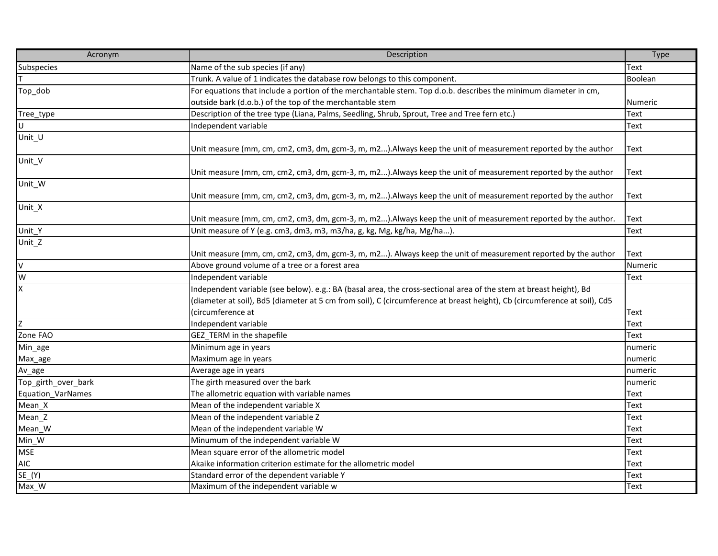| Acronym                  | Description                                                                                                               | <b>Type</b>    |
|--------------------------|---------------------------------------------------------------------------------------------------------------------------|----------------|
| Subspecies               | Name of the sub species (if any)                                                                                          | Text           |
|                          | Trunk. A value of 1 indicates the database row belongs to this component.                                                 | Boolean        |
| Top_dob                  | For equations that include a portion of the merchantable stem. Top d.o.b. describes the minimum diameter in cm,           |                |
|                          | outside bark (d.o.b.) of the top of the merchantable stem                                                                 | <b>Numeric</b> |
| Tree_type                | Description of the tree type (Liana, Palms, Seedling, Shrub, Sprout, Tree and Tree fern etc.)                             | <b>Text</b>    |
| U                        | Independent variable                                                                                                      | Text           |
| Unit_U                   |                                                                                                                           |                |
|                          | Unit measure (mm, cm, cm2, cm3, dm, gcm-3, m, m2). Always keep the unit of measurement reported by the author             | Text           |
| Unit_V                   |                                                                                                                           |                |
|                          | Unit measure (mm, cm, cm2, cm3, dm, gcm-3, m, m2). Always keep the unit of measurement reported by the author             | Text           |
| Unit_W                   |                                                                                                                           |                |
|                          | Unit measure (mm, cm, cm2, cm3, dm, gcm-3, m, m2). Always keep the unit of measurement reported by the author             | Text           |
| Unit_X                   |                                                                                                                           |                |
|                          | Unit measure (mm, cm, cm2, cm3, dm, gcm-3, m, m2). Always keep the unit of measurement reported by the author.            | Text           |
| Unit_Y                   | Unit measure of Y (e.g. cm3, dm3, m3, m3/ha, g, kg, Mg, kg/ha, Mg/ha)                                                     | Text           |
| Unit_Z                   |                                                                                                                           |                |
|                          | Unit measure (mm, cm, cm2, cm3, dm, gcm-3, m, m2). Always keep the unit of measurement reported by the author             | <b>Text</b>    |
| $\mathsf{V}$             | Above ground volume of a tree or a forest area                                                                            | Numeric        |
| W                        | Independent variable                                                                                                      | Text           |
| $\overline{\mathsf{x}}$  | Independent variable (see below). e.g.: BA (basal area, the cross-sectional area of the stem at breast height), Bd        |                |
|                          | (diameter at soil), Bd5 (diameter at 5 cm from soil), C (circumference at breast height), Cb (circumference at soil), Cd5 |                |
|                          | (circumference at                                                                                                         | <b>Text</b>    |
| Z                        | Independent variable                                                                                                      | Text           |
| Zone FAO                 | GEZ_TERM in the shapefile                                                                                                 | Text           |
| Min_age                  | Minimum age in years                                                                                                      | numeric        |
| Max_age                  | Maximum age in years                                                                                                      | numeric        |
| Av_age                   | Average age in years                                                                                                      | numeric        |
| Top_girth_over_bark      | The girth measured over the bark                                                                                          | numeric        |
| <b>Equation VarNames</b> | The allometric equation with variable names                                                                               | Text           |
| Mean_X                   | Mean of the independent variable X                                                                                        | Text           |
| Mean Z                   | Mean of the independent variable Z                                                                                        | Text           |
| Mean_W                   | Mean of the independent variable W                                                                                        | Text           |
| Min_W                    | Minumum of the independent variable W                                                                                     | <b>Text</b>    |
| <b>MSE</b>               | Mean square error of the allometric model                                                                                 | Text           |
| <b>AIC</b>               | Akaike information criterion estimate for the allometric model                                                            | Text           |
| $SE_Y(Y)$                | Standard error of the dependent variable Y                                                                                | Text           |
| Max_W                    | Maximum of the independent variable w                                                                                     | Text           |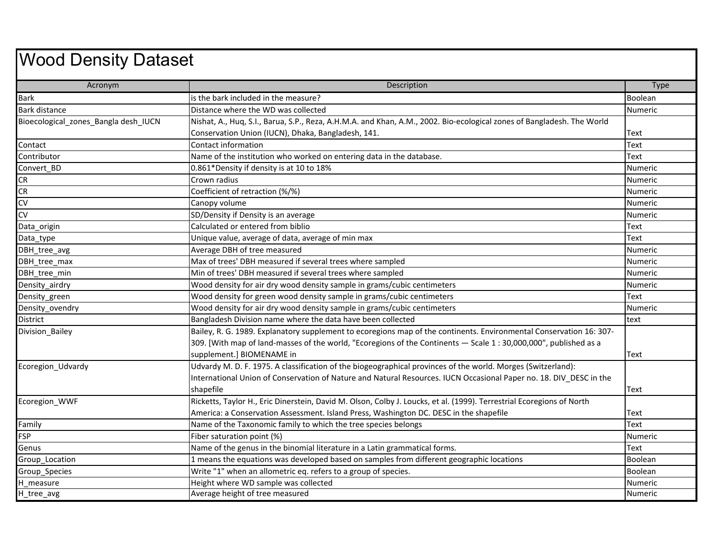## Wood Density Dataset

| Acronym                              | <b>Description</b>                                                                                                     | <b>Type</b>    |
|--------------------------------------|------------------------------------------------------------------------------------------------------------------------|----------------|
| <b>Bark</b>                          | is the bark included in the measure?                                                                                   | Boolean        |
| <b>Bark distance</b>                 | Distance where the WD was collected                                                                                    | Numeric        |
| Bioecological_zones_Bangla desh_IUCN | Nishat, A., Huq, S.I., Barua, S.P., Reza, A.H.M.A. and Khan, A.M., 2002. Bio-ecological zones of Bangladesh. The World |                |
|                                      | Conservation Union (IUCN), Dhaka, Bangladesh, 141.                                                                     | Text           |
| Contact                              | Contact information                                                                                                    | Text           |
| Contributor                          | Name of the institution who worked on entering data in the database.                                                   | Text           |
| Convert BD                           | 0.861*Density if density is at 10 to 18%                                                                               | <b>Numeric</b> |
| <b>CR</b>                            | Crown radius                                                                                                           | <b>Numeric</b> |
| CR                                   | Coefficient of retraction (%/%)                                                                                        | <b>Numeric</b> |
| CV                                   | Canopy volume                                                                                                          | <b>Numeric</b> |
| CV                                   | SD/Density if Density is an average                                                                                    | Numeric        |
| Data_origin                          | Calculated or entered from biblio                                                                                      | Text           |
| Data_type                            | Unique value, average of data, average of min max                                                                      | Text           |
| DBH tree avg                         | Average DBH of tree measured                                                                                           | <b>Numeric</b> |
| DBH_tree_max                         | Max of trees' DBH measured if several trees where sampled                                                              | Numeric        |
| DBH tree min                         | Min of trees' DBH measured if several trees where sampled                                                              | <b>Numeric</b> |
| Density_airdry                       | Wood density for air dry wood density sample in grams/cubic centimeters                                                | Numeric        |
| Density_green                        | Wood density for green wood density sample in grams/cubic centimeters                                                  | Text           |
| Density_ovendry                      | Wood density for air dry wood density sample in grams/cubic centimeters                                                | <b>Numeric</b> |
| <b>District</b>                      | Bangladesh Division name where the data have been collected                                                            | text           |
| Division_Bailey                      | Bailey, R. G. 1989. Explanatory supplement to ecoregions map of the continents. Environmental Conservation 16: 307-    |                |
|                                      | 309. [With map of land-masses of the world, "Ecoregions of the Continents - Scale 1:30,000,000", published as a        |                |
|                                      | supplement.] BIOMENAME in                                                                                              | <b>Text</b>    |
| Ecoregion_Udvardy                    | Udvardy M. D. F. 1975. A classification of the biogeographical provinces of the world. Morges (Switzerland):           |                |
|                                      | International Union of Conservation of Nature and Natural Resources. IUCN Occasional Paper no. 18. DIV_DESC in the     |                |
|                                      | shapefile                                                                                                              | Text           |
| Ecoregion_WWF                        | Ricketts, Taylor H., Eric Dinerstein, David M. Olson, Colby J. Loucks, et al. (1999). Terrestrial Ecoregions of North  |                |
|                                      | America: a Conservation Assessment. Island Press, Washington DC. DESC in the shapefile                                 | Text           |
| Family                               | Name of the Taxonomic family to which the tree species belongs                                                         | Text           |
| <b>FSP</b>                           | Fiber saturation point (%)                                                                                             | Numeric        |
| Genus                                | Name of the genus in the binomial literature in a Latin grammatical forms.                                             | Text           |
| Group Location                       | 1 means the equations was developed based on samples from different geographic locations                               | Boolean        |
| Group Species                        | Write "1" when an allometric eq. refers to a group of species.                                                         | Boolean        |
| H measure                            | Height where WD sample was collected                                                                                   | Numeric        |
| H_tree_avg                           | Average height of tree measured                                                                                        | Numeric        |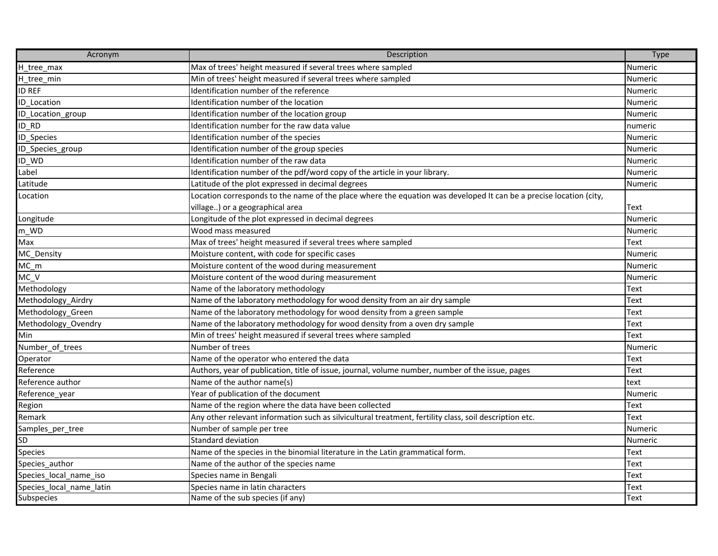| Acronym                  | Description                                                                                                        | Type           |
|--------------------------|--------------------------------------------------------------------------------------------------------------------|----------------|
| H_tree_max               | Max of trees' height measured if several trees where sampled                                                       | Numeric        |
| H_tree_min               | Min of trees' height measured if several trees where sampled                                                       | Numeric        |
| <b>ID REF</b>            | Identification number of the reference                                                                             | Numeric        |
| ID Location              | Identification number of the location                                                                              | Numeric        |
| ID_Location_group        | Identification number of the location group                                                                        | <b>Numeric</b> |
| ID RD                    | Identification number for the raw data value                                                                       | numeric        |
| ID_Species               | Identification number of the species                                                                               | Numeric        |
| ID_Species_group         | Identification number of the group species                                                                         | Numeric        |
| ID WD                    | Identification number of the raw data                                                                              | Numeric        |
| Label                    | Identification number of the pdf/word copy of the article in your library.                                         | Numeric        |
| Latitude                 | Latitude of the plot expressed in decimal degrees                                                                  | Numeric        |
| Location                 | Location corresponds to the name of the place where the equation was developed It can be a precise location (city, |                |
|                          | village) or a geographical area                                                                                    | Text           |
| Longitude                | Longitude of the plot expressed in decimal degrees                                                                 | Numeric        |
| $m_WD$                   | Wood mass measured                                                                                                 | Numeric        |
| Max                      | Max of trees' height measured if several trees where sampled                                                       | Text           |
| MC_Density               | Moisture content, with code for specific cases                                                                     | Numeric        |
| $MC_m$                   | Moisture content of the wood during measurement                                                                    | <b>Numeric</b> |
| MC V                     | Moisture content of the wood during measurement                                                                    | <b>Numeric</b> |
| Methodology              | Name of the laboratory methodology                                                                                 | <b>Text</b>    |
| Methodology_Airdry       | Name of the laboratory methodology for wood density from an air dry sample                                         | Text           |
| Methodology Green        | Name of the laboratory methodology for wood density from a green sample                                            | <b>Text</b>    |
| Methodology_Ovendry      | Name of the laboratory methodology for wood density from a oven dry sample                                         | Text           |
| Min                      | Min of trees' height measured if several trees where sampled                                                       | <b>Text</b>    |
| Number_of_trees          | Number of trees                                                                                                    | <b>Numeric</b> |
| Operator                 | Name of the operator who entered the data                                                                          | <b>Text</b>    |
| Reference                | Authors, year of publication, title of issue, journal, volume number, number of the issue, pages                   | <b>Text</b>    |
| Reference author         | Name of the author name(s)                                                                                         | text           |
| Reference_year           | Year of publication of the document                                                                                | Numeric        |
| Region                   | Name of the region where the data have been collected                                                              | <b>Text</b>    |
| Remark                   | Any other relevant information such as silvicultural treatment, fertility class, soil description etc.             | <b>Text</b>    |
| Samples_per_tree         | Number of sample per tree                                                                                          | <b>Numeric</b> |
| SD                       | Standard deviation                                                                                                 | Numeric        |
| Species                  | Name of the species in the binomial literature in the Latin grammatical form.                                      | Text           |
| Species_author           | Name of the author of the species name                                                                             | <b>Text</b>    |
| Species local name iso   | Species name in Bengali                                                                                            | <b>Text</b>    |
| Species_local_name_latin | Species name in latin characters                                                                                   | Text           |
| Subspecies               | Name of the sub species (if any)                                                                                   | <b>Text</b>    |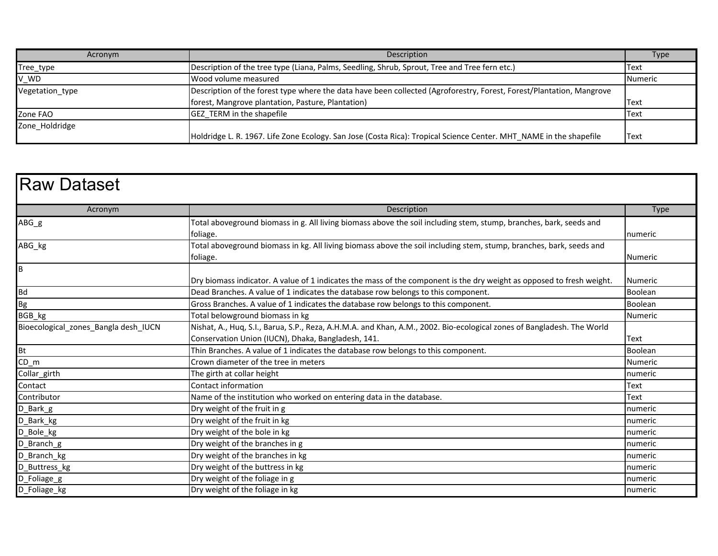| Acronym         | Description                                                                                                          | <b>Type</b>    |
|-----------------|----------------------------------------------------------------------------------------------------------------------|----------------|
| Tree_type       | [Description of the tree type (Liana, Palms, Seedling, Shrub, Sprout, Tree and Tree fern etc.)                       | Text           |
| V_WD            | Wood volume measured                                                                                                 | <b>Numeric</b> |
| Vegetation type | Description of the forest type where the data have been collected (Agroforestry, Forest, Forest/Plantation, Mangrove |                |
|                 | forest, Mangrove plantation, Pasture, Plantation)                                                                    | <b>Text</b>    |
| Zone FAO        | <b>GEZ TERM</b> in the shapefile                                                                                     | <b>Text</b>    |
| Zone Holdridge  |                                                                                                                      |                |
|                 | Holdridge L. R. 1967. Life Zone Ecology. San Jose (Costa Rica): Tropical Science Center. MHT_NAME in the shapefile   | Text           |

| <b>Raw Dataset</b>                   |                                                                                                                        |                |
|--------------------------------------|------------------------------------------------------------------------------------------------------------------------|----------------|
| Acronym                              | Description                                                                                                            | <b>Type</b>    |
| $ABG_g$                              | Total aboveground biomass in g. All living biomass above the soil including stem, stump, branches, bark, seeds and     |                |
|                                      | foliage.                                                                                                               | numeric        |
| ABG_kg                               | Total aboveground biomass in kg. All living biomass above the soil including stem, stump, branches, bark, seeds and    |                |
|                                      | foliage.                                                                                                               | <b>Numeric</b> |
| $\overline{B}$                       |                                                                                                                        |                |
|                                      | Dry biomass indicator. A value of 1 indicates the mass of the component is the dry weight as opposed to fresh weight.  | <b>Numeric</b> |
| <b>Bd</b>                            | Dead Branches. A value of 1 indicates the database row belongs to this component.                                      | Boolean        |
| Bg<br>BGB_kg                         | Gross Branches. A value of 1 indicates the database row belongs to this component.                                     | Boolean        |
|                                      | Total belowground biomass in kg                                                                                        | Numeric        |
| Bioecological zones Bangla desh IUCN | Nishat, A., Huq, S.I., Barua, S.P., Reza, A.H.M.A. and Khan, A.M., 2002. Bio-ecological zones of Bangladesh. The World |                |
|                                      | Conservation Union (IUCN), Dhaka, Bangladesh, 141.                                                                     | Text           |
| <b>Bt</b>                            | Thin Branches. A value of 1 indicates the database row belongs to this component.                                      | Boolean        |
| $CD_{m}$                             | Crown diameter of the tree in meters                                                                                   | <b>Numeric</b> |
| Collar_girth                         | The girth at collar height                                                                                             | numeric        |
| Contact                              | Contact information                                                                                                    | Text           |
| Contributor                          | Name of the institution who worked on entering data in the database.                                                   | <b>Text</b>    |
| D_Bark_g                             | Dry weight of the fruit in g                                                                                           | numeric        |
| D_Bark_kg                            | Dry weight of the fruit in kg                                                                                          | numeric        |
| D_Bole_kg                            | Dry weight of the bole in kg                                                                                           | numeric        |
| D_Branch_g                           | Dry weight of the branches in g                                                                                        | numeric        |
| D_Branch_kg                          | Dry weight of the branches in kg                                                                                       | numeric        |
| D_Buttress_kg                        | Dry weight of the buttress in kg                                                                                       | numeric        |
| D_Foliage_g                          | Dry weight of the foliage in g                                                                                         | numeric        |
| D_Foliage_kg                         | Dry weight of the foliage in kg                                                                                        | numeric        |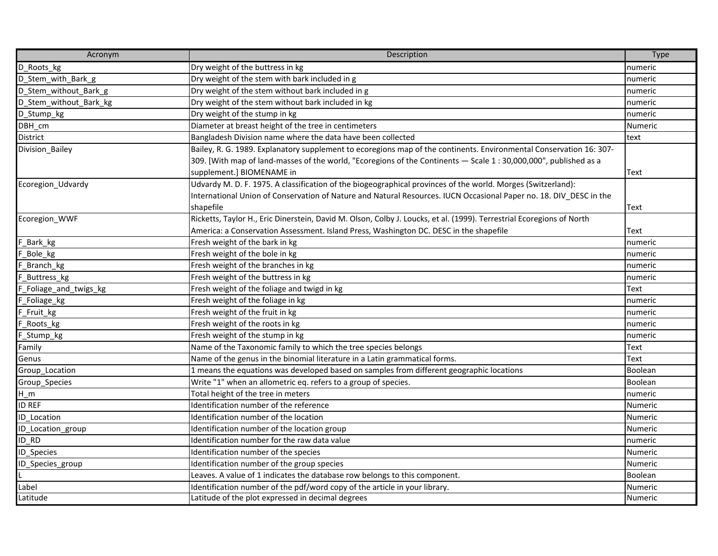| Acronym                | Description                                                                                                           | <b>Type</b>    |
|------------------------|-----------------------------------------------------------------------------------------------------------------------|----------------|
| D Roots_kg             | Dry weight of the buttress in kg                                                                                      | numeric        |
| D_Stem_with_Bark_g     | Dry weight of the stem with bark included in g                                                                        | numeric        |
| D Stem_without_Bark_g  | Dry weight of the stem without bark included in g                                                                     | numeric        |
| D_Stem_without_Bark_kg | Dry weight of the stem without bark included in kg                                                                    | numeric        |
| D_Stump_kg             | Dry weight of the stump in kg                                                                                         | numeric        |
| DBH_cm                 | Diameter at breast height of the tree in centimeters                                                                  | Numeric        |
| District               | Bangladesh Division name where the data have been collected                                                           | text           |
| Division_Bailey        | Bailey, R. G. 1989. Explanatory supplement to ecoregions map of the continents. Environmental Conservation 16: 307-   |                |
|                        | 309. [With map of land-masses of the world, "Ecoregions of the Continents - Scale 1:30,000,000", published as a       |                |
|                        | supplement.] BIOMENAME in                                                                                             | Text           |
| Ecoregion_Udvardy      | Udvardy M. D. F. 1975. A classification of the biogeographical provinces of the world. Morges (Switzerland):          |                |
|                        | International Union of Conservation of Nature and Natural Resources. IUCN Occasional Paper no. 18. DIV_DESC in the    |                |
|                        | shapefile                                                                                                             | <b>Text</b>    |
| Ecoregion WWF          | Ricketts, Taylor H., Eric Dinerstein, David M. Olson, Colby J. Loucks, et al. (1999). Terrestrial Ecoregions of North |                |
|                        | America: a Conservation Assessment. Island Press, Washington DC. DESC in the shapefile                                | Text           |
| F_Bark_kg              | Fresh weight of the bark in kg                                                                                        | numeric        |
| F_Bole_kg              | Fresh weight of the bole in kg                                                                                        | numeric        |
| F_Branch_kg            | Fresh weight of the branches in kg                                                                                    | numeric        |
| F Buttress_kg          | Fresh weight of the buttress in kg                                                                                    | numeric        |
| F_Foliage_and_twigs_kg | Fresh weight of the foliage and twigd in kg                                                                           | Text           |
| F_Foliage_kg           | Fresh weight of the foliage in kg                                                                                     | numeric        |
| F_Fruit_kg             | Fresh weight of the fruit in kg                                                                                       | numeric        |
| F Roots kg             | Fresh weight of the roots in kg                                                                                       | numeric        |
| F_Stump_kg             | Fresh weight of the stump in kg                                                                                       | numeric        |
| Family                 | Name of the Taxonomic family to which the tree species belongs                                                        | Text           |
| Genus                  | Name of the genus in the binomial literature in a Latin grammatical forms.                                            | Text           |
| Group_Location         | 1 means the equations was developed based on samples from different geographic locations                              | Boolean        |
| Group_Species          | Write "1" when an allometric eq. refers to a group of species.                                                        | Boolean        |
| $H_m$                  | Total height of the tree in meters                                                                                    | numeric        |
| <b>ID REF</b>          | Identification number of the reference                                                                                | <b>Numeric</b> |
| <b>ID_Location</b>     | Identification number of the location                                                                                 | Numeric        |
| ID_Location_group      | Identification number of the location group                                                                           | <b>Numeric</b> |
| ID RD                  | Identification number for the raw data value                                                                          | numeric        |
| ID_Species             | Identification number of the species                                                                                  | Numeric        |
| ID_Species_group       | Identification number of the group species                                                                            | Numeric        |
|                        | Leaves. A value of 1 indicates the database row belongs to this component.                                            | Boolean        |
| Label                  | Identification number of the pdf/word copy of the article in your library.                                            | Numeric        |
| Latitude               | Latitude of the plot expressed in decimal degrees                                                                     | <b>Numeric</b> |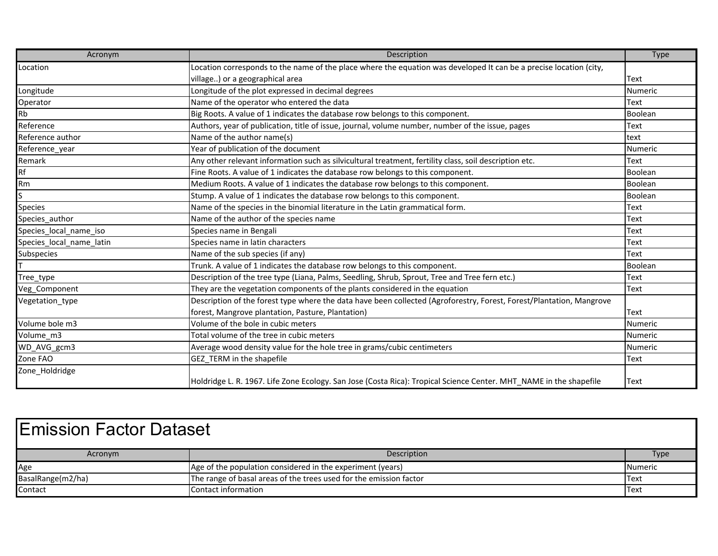| Acronym                  | Description                                                                                                          | <b>Type</b> |
|--------------------------|----------------------------------------------------------------------------------------------------------------------|-------------|
| Location                 | Location corresponds to the name of the place where the equation was developed It can be a precise location (city,   |             |
|                          | village) or a geographical area                                                                                      | <b>Text</b> |
| Longitude                | Longitude of the plot expressed in decimal degrees                                                                   | Numeric     |
| Operator                 | Name of the operator who entered the data                                                                            | <b>Text</b> |
| Rb                       | Big Roots. A value of 1 indicates the database row belongs to this component.                                        | Boolean     |
| Reference                | Authors, year of publication, title of issue, journal, volume number, number of the issue, pages                     | <b>Text</b> |
| Reference author         | Name of the author name(s)                                                                                           | text        |
| Reference_year           | Year of publication of the document                                                                                  | Numeric     |
| Remark                   | Any other relevant information such as silvicultural treatment, fertility class, soil description etc.               | <b>Text</b> |
| Rf                       | Fine Roots. A value of 1 indicates the database row belongs to this component.                                       | Boolean     |
| Rm                       | Medium Roots. A value of 1 indicates the database row belongs to this component.                                     | Boolean     |
| S                        | Stump. A value of 1 indicates the database row belongs to this component.                                            | Boolean     |
| <b>Species</b>           | Name of the species in the binomial literature in the Latin grammatical form.                                        | <b>Text</b> |
| Species_author           | Name of the author of the species name                                                                               | <b>Text</b> |
| Species local name iso   | Species name in Bengali                                                                                              | <b>Text</b> |
| Species_local_name_latin | Species name in latin characters                                                                                     | <b>Text</b> |
| <b>Subspecies</b>        | Name of the sub species (if any)                                                                                     | Text        |
|                          | Trunk. A value of 1 indicates the database row belongs to this component.                                            | Boolean     |
| Tree_type                | Description of the tree type (Liana, Palms, Seedling, Shrub, Sprout, Tree and Tree fern etc.)                        | <b>Text</b> |
| Veg_Component            | They are the vegetation components of the plants considered in the equation                                          | <b>Text</b> |
| Vegetation_type          | Description of the forest type where the data have been collected (Agroforestry, Forest, Forest/Plantation, Mangrove |             |
|                          | forest, Mangrove plantation, Pasture, Plantation)                                                                    | Text        |
| Volume bole m3           | Volume of the bole in cubic meters                                                                                   | Numeric     |
| Volume_m3                | Total volume of the tree in cubic meters                                                                             | Numeric     |
| WD_AVG_gcm3              | Average wood density value for the hole tree in grams/cubic centimeters                                              | Numeric     |
| Zone FAO                 | GEZ_TERM in the shapefile                                                                                            | <b>Text</b> |
| Zone_Holdridge           |                                                                                                                      |             |
|                          | Holdridge L. R. 1967. Life Zone Ecology. San Jose (Costa Rica): Tropical Science Center. MHT_NAME in the shapefile   | <b>Text</b> |

| <b>IEmission Factor Dataset</b> |                                                                    |                |
|---------------------------------|--------------------------------------------------------------------|----------------|
| Acronym                         | Description                                                        | <b>Type</b>    |
| Age                             | Age of the population considered in the experiment (years)         | <b>Numeric</b> |
| BasalRange(m2/ha)               | The range of basal areas of the trees used for the emission factor | <b>Text</b>    |
| Contact                         | Contact information                                                | <b>IText</b>   |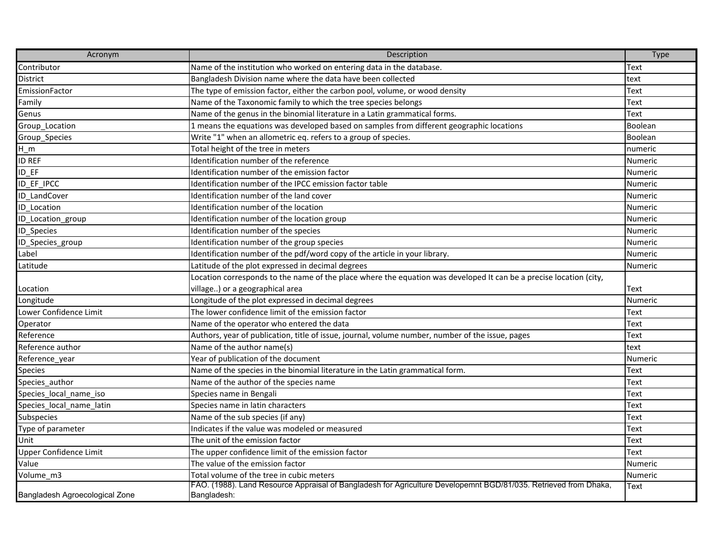| Acronym                        | Description                                                                                                                     | Type           |
|--------------------------------|---------------------------------------------------------------------------------------------------------------------------------|----------------|
| Contributor                    | Name of the institution who worked on entering data in the database.                                                            | Text           |
| <b>District</b>                | Bangladesh Division name where the data have been collected                                                                     | text           |
| EmissionFactor                 | The type of emission factor, either the carbon pool, volume, or wood density                                                    | <b>Text</b>    |
| Family                         | Name of the Taxonomic family to which the tree species belongs                                                                  | Text           |
| Genus                          | Name of the genus in the binomial literature in a Latin grammatical forms.                                                      | <b>Text</b>    |
| Group_Location                 | 1 means the equations was developed based on samples from different geographic locations                                        | Boolean        |
| Group_Species                  | Write "1" when an allometric eq. refers to a group of species.                                                                  | Boolean        |
| $H_m$                          | Total height of the tree in meters                                                                                              | numeric        |
| <b>ID REF</b>                  | Identification number of the reference                                                                                          | Numeric        |
| <b>ID_EF</b>                   | Identification number of the emission factor                                                                                    | <b>Numeric</b> |
| ID EF IPCC                     | Identification number of the IPCC emission factor table                                                                         | Numeric        |
| ID LandCover                   | Identification number of the land cover                                                                                         | <b>Numeric</b> |
| <b>ID</b> Location             | Identification number of the location                                                                                           | Numeric        |
| ID_Location_group              | Identification number of the location group                                                                                     | Numeric        |
| ID_Species                     | Identification number of the species                                                                                            | Numeric        |
| ID_Species_group               | Identification number of the group species                                                                                      | Numeric        |
| Label                          | Identification number of the pdf/word copy of the article in your library.                                                      | Numeric        |
| Latitude                       | Latitude of the plot expressed in decimal degrees                                                                               | Numeric        |
|                                | Location corresponds to the name of the place where the equation was developed It can be a precise location (city,              |                |
| Location                       | village) or a geographical area                                                                                                 | <b>Text</b>    |
| Longitude                      | Longitude of the plot expressed in decimal degrees                                                                              | Numeric        |
| Lower Confidence Limit         | The lower confidence limit of the emission factor                                                                               | Text           |
| Operator                       | Name of the operator who entered the data                                                                                       | Text           |
| Reference                      | Authors, year of publication, title of issue, journal, volume number, number of the issue, pages                                | <b>Text</b>    |
| Reference author               | Name of the author name(s)                                                                                                      | text           |
| Reference_year                 | Year of publication of the document                                                                                             | Numeric        |
| <b>Species</b>                 | Name of the species in the binomial literature in the Latin grammatical form.                                                   | Text           |
| Species_author                 | Name of the author of the species name                                                                                          | Text           |
| Species_local_name_iso         | Species name in Bengali                                                                                                         | Text           |
| Species_local_name_latin       | Species name in latin characters                                                                                                | <b>Text</b>    |
| Subspecies                     | Name of the sub species (if any)                                                                                                | <b>Text</b>    |
| Type of parameter              | Indicates if the value was modeled or measured                                                                                  | <b>Text</b>    |
| Unit                           | The unit of the emission factor                                                                                                 | <b>Text</b>    |
| Upper Confidence Limit         | The upper confidence limit of the emission factor                                                                               | Text           |
| Value                          | The value of the emission factor                                                                                                | Numeric        |
| Volume_m3                      | Total volume of the tree in cubic meters                                                                                        | Numeric        |
| Bangladesh Agroecological Zone | FAO. (1988). Land Resource Appraisal of Bangladesh for Agriculture Developemnt BGD/81/035. Retrieved from Dhaka,<br>Bangladesh: | Text           |